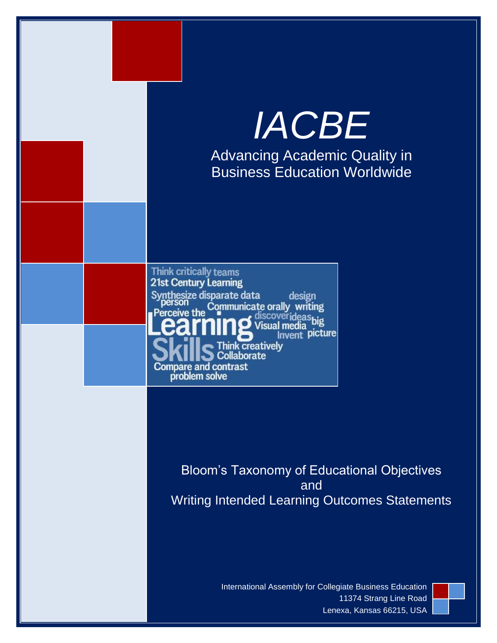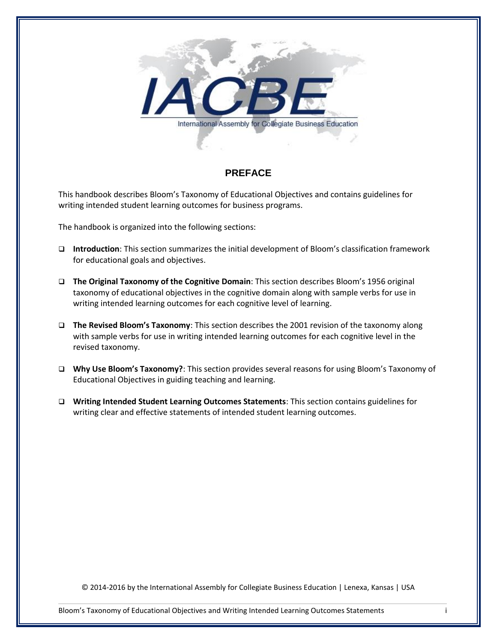

# <span id="page-1-0"></span>**PREFACE**

This handbook describes Bloom's Taxonomy of Educational Objectives and contains guidelines for writing intended student learning outcomes for business programs.

The handbook is organized into the following sections:

- **Introduction**: This section summarizes the initial development of Bloom's classification framework for educational goals and objectives.
- **The Original Taxonomy of the Cognitive Domain**: This section describes Bloom's 1956 original taxonomy of educational objectives in the cognitive domain along with sample verbs for use in writing intended learning outcomes for each cognitive level of learning.
- **The Revised Bloom's Taxonomy**: This section describes the 2001 revision of the taxonomy along with sample verbs for use in writing intended learning outcomes for each cognitive level in the revised taxonomy.
- **Why Use Bloom's Taxonomy?**: This section provides several reasons for using Bloom's Taxonomy of Educational Objectives in guiding teaching and learning.
- **Writing Intended Student Learning Outcomes Statements**: This section contains guidelines for writing clear and effective statements of intended student learning outcomes.

© 2014-2016 by the International Assembly for Collegiate Business Education | Lenexa, Kansas | USA

Bloom's Taxonomy of Educational Objectives and Writing Intended Learning Outcomes Statements i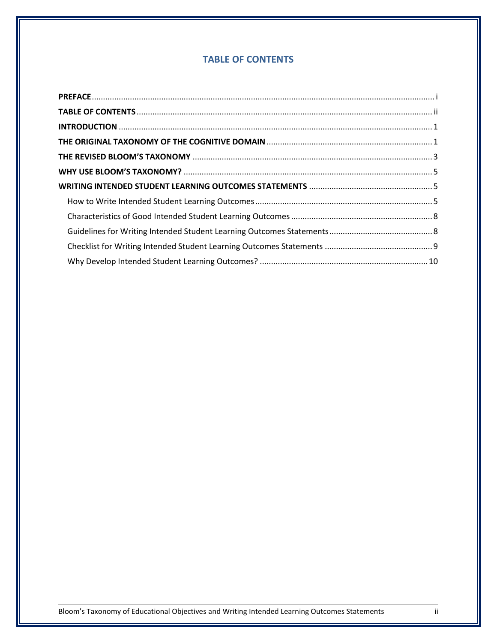# **TABLE OF CONTENTS**

<span id="page-2-0"></span>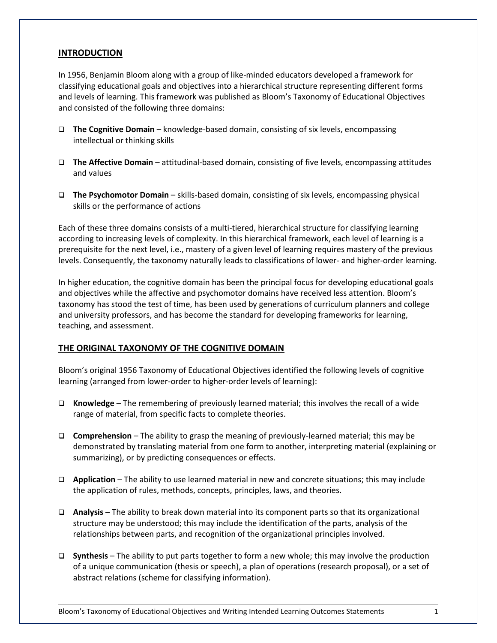## <span id="page-3-0"></span>**INTRODUCTION**

In 1956, Benjamin Bloom along with a group of like-minded educators developed a framework for classifying educational goals and objectives into a hierarchical structure representing different forms and levels of learning. This framework was published as Bloom's Taxonomy of Educational Objectives and consisted of the following three domains:

- **The Cognitive Domain** knowledge-based domain, consisting of six levels, encompassing intellectual or thinking skills
- **The Affective Domain** attitudinal-based domain, consisting of five levels, encompassing attitudes and values
- **The Psychomotor Domain** skills-based domain, consisting of six levels, encompassing physical skills or the performance of actions

Each of these three domains consists of a multi-tiered, hierarchical structure for classifying learning according to increasing levels of complexity. In this hierarchical framework, each level of learning is a prerequisite for the next level, i.e., mastery of a given level of learning requires mastery of the previous levels. Consequently, the taxonomy naturally leads to classifications of lower- and higher-order learning.

In higher education, the cognitive domain has been the principal focus for developing educational goals and objectives while the affective and psychomotor domains have received less attention. Bloom's taxonomy has stood the test of time, has been used by generations of curriculum planners and college and university professors, and has become the standard for developing frameworks for learning, teaching, and assessment.

#### <span id="page-3-1"></span>**THE ORIGINAL TAXONOMY OF THE COGNITIVE DOMAIN**

Bloom's original 1956 Taxonomy of Educational Objectives identified the following levels of cognitive learning (arranged from lower-order to higher-order levels of learning):

- **Knowledge** The remembering of previously learned material; this involves the recall of a wide range of material, from specific facts to complete theories.
- **Comprehension** The ability to grasp the meaning of previously-learned material; this may be demonstrated by translating material from one form to another, interpreting material (explaining or summarizing), or by predicting consequences or effects.
- **Application** The ability to use learned material in new and concrete situations; this may include the application of rules, methods, concepts, principles, laws, and theories.
- **Analysis** The ability to break down material into its component parts so that its organizational structure may be understood; this may include the identification of the parts, analysis of the relationships between parts, and recognition of the organizational principles involved.
- **Synthesis** The ability to put parts together to form a new whole; this may involve the production of a unique communication (thesis or speech), a plan of operations (research proposal), or a set of abstract relations (scheme for classifying information).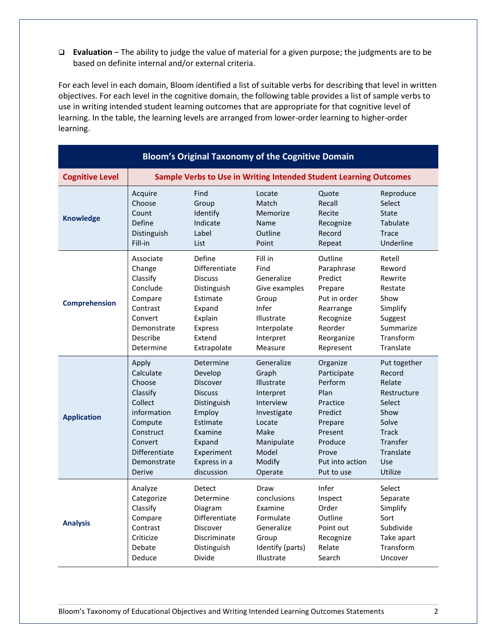**Evaluation** – The ability to judge the value of material for a given purpose; the judgments are to be based on definite internal and/or external criteria.

For each level in each domain, Bloom identified a list of suitable verbs for describing that level in written objectives. For each level in the cognitive domain, the following table provides a list of sample verbs to use in writing intended student learning outcomes that are appropriate for that cognitive level of learning. In the table, the learning levels are arranged from lower-order learning to higher-order learning.

|                        |               |                 | <b>Bloom's Original Taxonomy of the Cognitive Domain</b>          |                 |              |
|------------------------|---------------|-----------------|-------------------------------------------------------------------|-----------------|--------------|
| <b>Cognitive Level</b> |               |                 | Sample Verbs to Use in Writing Intended Student Learning Outcomes |                 |              |
| <b>Knowledge</b>       | Acquire       | Find            | Locate                                                            | Quote           | Reproduce    |
|                        | Choose        | Group           | Match                                                             | Recall          | Select       |
|                        | Count         | Identify        | Memorize                                                          | Recite          | <b>State</b> |
|                        | Define        | Indicate        | Name                                                              | Recognize       | Tabulate     |
|                        | Distinguish   | Label           | Outline                                                           | Record          | Trace        |
|                        | Fill-in       | List            | Point                                                             | Repeat          | Underline    |
| <b>Comprehension</b>   | Associate     | Define          | Fill in                                                           | Outline         | Retell       |
|                        | Change        | Differentiate   | Find                                                              | Paraphrase      | Reword       |
|                        | Classify      | <b>Discuss</b>  | Generalize                                                        | Predict         | Rewrite      |
|                        | Conclude      | Distinguish     | Give examples                                                     | Prepare         | Restate      |
|                        | Compare       | Estimate        | Group                                                             | Put in order    | Show         |
|                        | Contrast      | Expand          | Infer                                                             | Rearrange       | Simplify     |
|                        | Convert       | Explain         | Illustrate                                                        | Recognize       | Suggest      |
|                        | Demonstrate   | <b>Express</b>  | Interpolate                                                       | Reorder         | Summarize    |
|                        | Describe      | Extend          | Interpret                                                         | Reorganize      | Transform    |
|                        | Determine     | Extrapolate     | Measure                                                           | Represent       | Translate    |
| <b>Application</b>     | Apply         | Determine       | Generalize                                                        | Organize        | Put together |
|                        | Calculate     | Develop         | Graph                                                             | Participate     | Record       |
|                        | Choose        | Discover        | Illustrate                                                        | Perform         | Relate       |
|                        | Classify      | <b>Discuss</b>  | Interpret                                                         | Plan            | Restructure  |
|                        | Collect       | Distinguish     | Interview                                                         | Practice        | Select       |
|                        | information   | Employ          | Investigate                                                       | Predict         | Show         |
|                        | Compute       | Estimate        | Locate                                                            | Prepare         | Solve        |
|                        | Construct     | Examine         | Make                                                              | Present         | <b>Track</b> |
|                        | Convert       | Expand          | Manipulate                                                        | Produce         | Transfer     |
|                        | Differentiate | Experiment      | Model                                                             | Prove           | Translate    |
|                        | Demonstrate   | Express in a    | Modify                                                            | Put into action | <b>Use</b>   |
|                        | <b>Derive</b> | discussion      | Operate                                                           | Put to use      | Utilize      |
| <b>Analysis</b>        | Analyze       | Detect          | Draw                                                              | Infer           | Select       |
|                        | Categorize    | Determine       | conclusions                                                       | Inspect         | Separate     |
|                        | Classify      | Diagram         | Examine                                                           | Order           | Simplify     |
|                        | Compare       | Differentiate   | Formulate                                                         | Outline         | Sort         |
|                        | Contrast      | <b>Discover</b> | Generalize                                                        | Point out       | Subdivide    |
|                        | Criticize     | Discriminate    | Group                                                             | Recognize       | Take apart   |
|                        | Debate        | Distinguish     | Identify (parts)                                                  | Relate          | Transform    |
|                        | Deduce        | Divide          | Illustrate                                                        | Search          | Uncover      |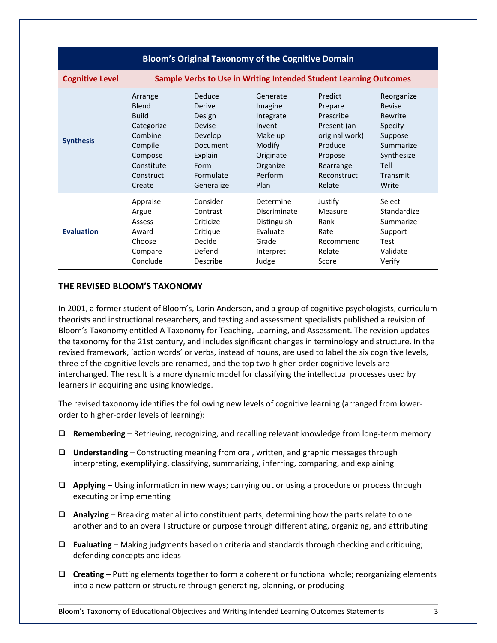| <b>Bloom's Original Taxonomy of the Cognitive Domain</b> |              |                                                                   |              |                |             |
|----------------------------------------------------------|--------------|-------------------------------------------------------------------|--------------|----------------|-------------|
| <b>Cognitive Level</b>                                   |              | Sample Verbs to Use in Writing Intended Student Learning Outcomes |              |                |             |
| <b>Synthesis</b>                                         | Arrange      | Deduce                                                            | Generate     | <b>Predict</b> | Reorganize  |
|                                                          | <b>Blend</b> | Derive                                                            | Imagine      | Prepare        | Revise      |
|                                                          | <b>Build</b> | Design                                                            | Integrate    | Prescribe      | Rewrite     |
|                                                          | Categorize   | Devise                                                            | Invent       | Present (an    | Specify     |
|                                                          | Combine      | Develop                                                           | Make up      | original work) | Suppose     |
|                                                          | Compile      | <b>Document</b>                                                   | Modify       | Produce        | Summarize   |
|                                                          | Compose      | Explain                                                           | Originate    | Propose        | Synthesize  |
|                                                          | Constitute   | Form                                                              | Organize     | Rearrange      | Tell        |
|                                                          | Construct    | Formulate                                                         | Perform      | Reconstruct    | Transmit    |
|                                                          | Create       | Generalize                                                        | Plan         | Relate         | Write       |
| <b>Evaluation</b>                                        | Appraise     | Consider                                                          | Determine    | Justify        | Select      |
|                                                          | Argue        | Contrast                                                          | Discriminate | Measure        | Standardize |
|                                                          | Assess       | Criticize                                                         | Distinguish  | Rank           | Summarize   |
|                                                          | Award        | Critique                                                          | Fvaluate     | Rate           | Support     |
|                                                          | Choose       | Decide                                                            | Grade        | Recommend      | <b>Test</b> |
|                                                          | Compare      | Defend                                                            | Interpret    | Relate         | Validate    |
|                                                          | Conclude     | Describe                                                          | Judge        | Score          | Verify      |

# <span id="page-5-0"></span>**THE REVISED BLOOM'S TAXONOMY**

In 2001, a former student of Bloom's, Lorin Anderson, and a group of cognitive psychologists, curriculum theorists and instructional researchers, and testing and assessment specialists published a revision of Bloom's Taxonomy entitled A Taxonomy for Teaching, Learning, and Assessment. The revision updates the taxonomy for the 21st century, and includes significant changes in terminology and structure. In the revised framework, 'action words' or verbs, instead of nouns, are used to label the six cognitive levels, three of the cognitive levels are renamed, and the top two higher-order cognitive levels are interchanged. The result is a more dynamic model for classifying the intellectual processes used by learners in acquiring and using knowledge.

The revised taxonomy identifies the following new levels of cognitive learning (arranged from lowerorder to higher-order levels of learning):

- **Remembering** Retrieving, recognizing, and recalling relevant knowledge from long-term memory
- **Understanding** Constructing meaning from oral, written, and graphic messages through interpreting, exemplifying, classifying, summarizing, inferring, comparing, and explaining
- **Applying** Using information in new ways; carrying out or using a procedure or process through executing or implementing
- **Analyzing** Breaking material into constituent parts; determining how the parts relate to one another and to an overall structure or purpose through differentiating, organizing, and attributing
- **Evaluating** Making judgments based on criteria and standards through checking and critiquing; defending concepts and ideas
- **Creating** Putting elements together to form a coherent or functional whole; reorganizing elements into a new pattern or structure through generating, planning, or producing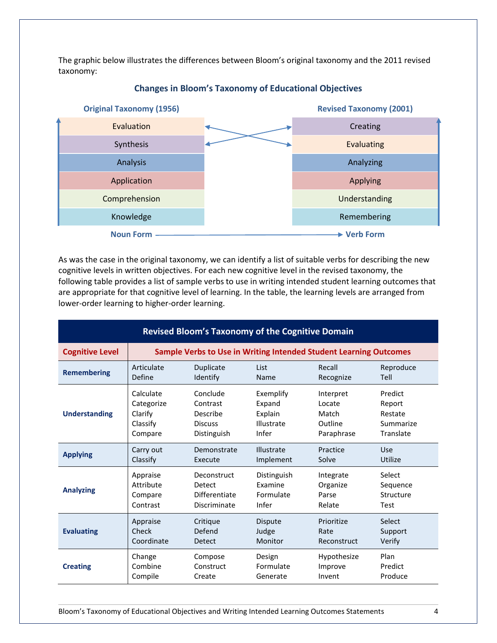The graphic below illustrates the differences between Bloom's original taxonomy and the 2011 revised taxonomy:



# **Changes in Bloom's Taxonomy of Educational Objectives**

As was the case in the original taxonomy, we can identify a list of suitable verbs for describing the new cognitive levels in written objectives. For each new cognitive level in the revised taxonomy, the following table provides a list of sample verbs to use in writing intended student learning outcomes that are appropriate for that cognitive level of learning. In the table, the learning levels are arranged from lower-order learning to higher-order learning.

| <b>Revised Bloom's Taxonomy of the Cognitive Domain</b> |                                                                   |                |                |             |             |
|---------------------------------------------------------|-------------------------------------------------------------------|----------------|----------------|-------------|-------------|
| <b>Cognitive Level</b>                                  | Sample Verbs to Use in Writing Intended Student Learning Outcomes |                |                |             |             |
| <b>Remembering</b>                                      | Articulate                                                        | Duplicate      | <b>List</b>    | Recall      | Reproduce   |
|                                                         | Define                                                            | Identify       | Name           | Recognize   | Tell        |
| <b>Understanding</b>                                    | Calculate                                                         | Conclude       | Exemplify      | Interpret   | Predict     |
|                                                         | Categorize                                                        | Contrast       | Expand         | Locate      | Report      |
|                                                         | Clarify                                                           | Describe       | Explain        | Match       | Restate     |
|                                                         | Classify                                                          | <b>Discuss</b> | Illustrate     | Outline     | Summarize   |
|                                                         | Compare                                                           | Distinguish    | Infer          | Paraphrase  | Translate   |
| <b>Applying</b>                                         | Carry out                                                         | Demonstrate    | Illustrate     | Practice    | Use         |
|                                                         | Classify                                                          | Execute        | Implement      | Solve       | Utilize     |
| <b>Analyzing</b>                                        | Appraise                                                          | Deconstruct    | Distinguish    | Integrate   | Select      |
|                                                         | Attribute                                                         | Detect         | Examine        | Organize    | Sequence    |
|                                                         | Compare                                                           | Differentiate  | Formulate      | Parse       | Structure   |
|                                                         | Contrast                                                          | Discriminate   | Infer          | Relate      | <b>Test</b> |
| <b>Evaluating</b>                                       | Appraise                                                          | Critique       | <b>Dispute</b> | Prioritize  | Select      |
|                                                         | Check                                                             | Defend         | Judge          | Rate        | Support     |
|                                                         | Coordinate                                                        | <b>Detect</b>  | Monitor        | Reconstruct | Verify      |
| <b>Creating</b>                                         | Change                                                            | Compose        | Design         | Hypothesize | Plan        |
|                                                         | Combine                                                           | Construct      | Formulate      | Improve     | Predict     |
|                                                         | Compile                                                           | Create         | Generate       | Invent      | Produce     |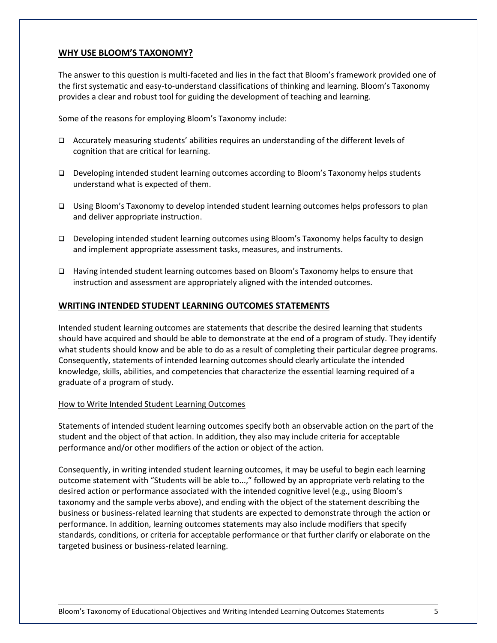# <span id="page-7-0"></span>**WHY USE BLOOM'S TAXONOMY?**

The answer to this question is multi-faceted and lies in the fact that Bloom's framework provided one of the first systematic and easy-to-understand classifications of thinking and learning. Bloom's Taxonomy provides a clear and robust tool for guiding the development of teaching and learning.

Some of the reasons for employing Bloom's Taxonomy include:

- Accurately measuring students' abilities requires an understanding of the different levels of cognition that are critical for learning.
- Developing intended student learning outcomes according to Bloom's Taxonomy helps students understand what is expected of them.
- Using Bloom's Taxonomy to develop intended student learning outcomes helps professors to plan and deliver appropriate instruction.
- Developing intended student learning outcomes using Bloom's Taxonomy helps faculty to design and implement appropriate assessment tasks, measures, and instruments.
- Having intended student learning outcomes based on Bloom's Taxonomy helps to ensure that instruction and assessment are appropriately aligned with the intended outcomes.

# <span id="page-7-1"></span>**WRITING INTENDED STUDENT LEARNING OUTCOMES STATEMENTS**

Intended student learning outcomes are statements that describe the desired learning that students should have acquired and should be able to demonstrate at the end of a program of study. They identify what students should know and be able to do as a result of completing their particular degree programs. Consequently, statements of intended learning outcomes should clearly articulate the intended knowledge, skills, abilities, and competencies that characterize the essential learning required of a graduate of a program of study.

#### <span id="page-7-2"></span>How to Write Intended Student Learning Outcomes

Statements of intended student learning outcomes specify both an observable action on the part of the student and the object of that action. In addition, they also may include criteria for acceptable performance and/or other modifiers of the action or object of the action.

Consequently, in writing intended student learning outcomes, it may be useful to begin each learning outcome statement with "Students will be able to...," followed by an appropriate verb relating to the desired action or performance associated with the intended cognitive level (e.g., using Bloom's taxonomy and the sample verbs above), and ending with the object of the statement describing the business or business-related learning that students are expected to demonstrate through the action or performance. In addition, learning outcomes statements may also include modifiers that specify standards, conditions, or criteria for acceptable performance or that further clarify or elaborate on the targeted business or business-related learning.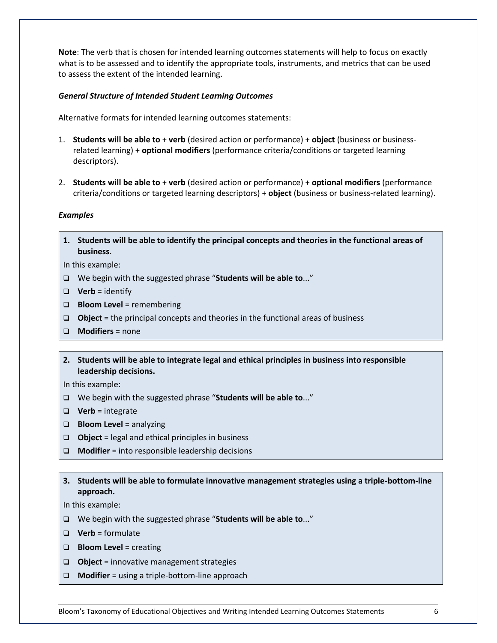**Note**: The verb that is chosen for intended learning outcomes statements will help to focus on exactly what is to be assessed and to identify the appropriate tools, instruments, and metrics that can be used to assess the extent of the intended learning.

## *General Structure of Intended Student Learning Outcomes*

Alternative formats for intended learning outcomes statements:

- 1. **Students will be able to** + **verb** (desired action or performance) + **object** (business or businessrelated learning) + **optional modifiers** (performance criteria/conditions or targeted learning descriptors).
- 2. **Students will be able to** + **verb** (desired action or performance) + **optional modifiers** (performance criteria/conditions or targeted learning descriptors) + **object** (business or business-related learning).

#### *Examples*

**1. Students will be able to identify the principal concepts and theories in the functional areas of business**.

In this example:

- We begin with the suggested phrase "**Students will be able to**..."
- $\Box$  **Verb** = identify
- **Bloom Level** = remembering
- **Object** = the principal concepts and theories in the functional areas of business
- **Modifiers** = none
- **2. Students will be able to integrate legal and ethical principles in business into responsible leadership decisions.**

In this example:

- We begin with the suggested phrase "**Students will be able to**..."
- **Verb** = integrate
- **Bloom Level** = analyzing
- **Object** = legal and ethical principles in business
- **Modifier** = into responsible leadership decisions
- **3. Students will be able to formulate innovative management strategies using a triple-bottom-line approach.**

In this example:

- We begin with the suggested phrase "**Students will be able to**..."
- **Verb** = formulate
- **Bloom Level** = creating
- **Object** = innovative management strategies
- **Modifier** = using a triple-bottom-line approach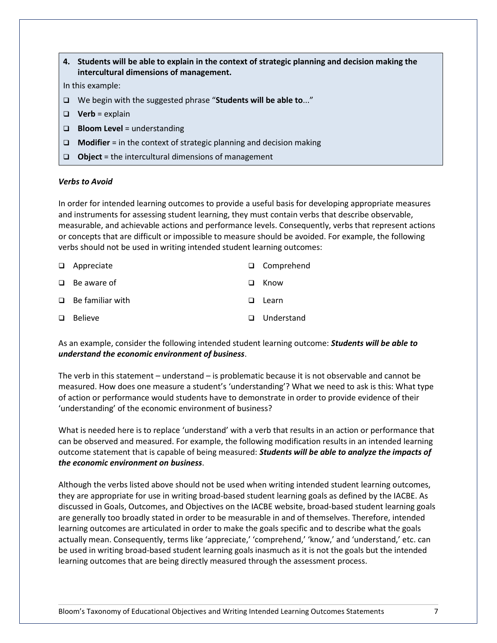|        | 4. Students will be able to explain in the context of strategic planning and decision making the<br>intercultural dimensions of management. |
|--------|---------------------------------------------------------------------------------------------------------------------------------------------|
|        | In this example:                                                                                                                            |
| $\Box$ | We begin with the suggested phrase "Students will be able to"                                                                               |
| □      | <b>Verb</b> = explain                                                                                                                       |
| $\Box$ | <b>Bloom Level</b> = understanding                                                                                                          |
| $\Box$ | <b>Modifier</b> $=$ in the context of strategic planning and decision making                                                                |
| $\Box$ | <b>Object</b> = the intercultural dimensions of management                                                                                  |
|        |                                                                                                                                             |

# *Verbs to Avoid*

In order for intended learning outcomes to provide a useful basis for developing appropriate measures and instruments for assessing student learning, they must contain verbs that describe observable, measurable, and achievable actions and performance levels. Consequently, verbs that represent actions or concepts that are difficult or impossible to measure should be avoided. For example, the following verbs should not be used in writing intended student learning outcomes:

|        | $\Box$ Appreciate       |                | □ Comprehend |
|--------|-------------------------|----------------|--------------|
|        | $\Box$ Be aware of      | ப              | Know         |
|        | $\Box$ Be familiar with | $\blacksquare$ | Learn        |
| $\Box$ | Believe                 |                | □ Understand |

As an example, consider the following intended student learning outcome: *Students will be able to understand the economic environment of business*.

The verb in this statement – understand – is problematic because it is not observable and cannot be measured. How does one measure a student's 'understanding'? What we need to ask is this: What type of action or performance would students have to demonstrate in order to provide evidence of their 'understanding' of the economic environment of business?

What is needed here is to replace 'understand' with a verb that results in an action or performance that can be observed and measured. For example, the following modification results in an intended learning outcome statement that is capable of being measured: *Students will be able to analyze the impacts of the economic environment on business*.

Although the verbs listed above should not be used when writing intended student learning outcomes, they are appropriate for use in writing broad-based student learning goals as defined by the IACBE. As discussed in Goals, Outcomes, and Objectives on the IACBE website, broad-based student learning goals are generally too broadly stated in order to be measurable in and of themselves. Therefore, intended learning outcomes are articulated in order to make the goals specific and to describe what the goals actually mean. Consequently, terms like 'appreciate,' 'comprehend,' 'know,' and 'understand,' etc. can be used in writing broad-based student learning goals inasmuch as it is not the goals but the intended learning outcomes that are being directly measured through the assessment process.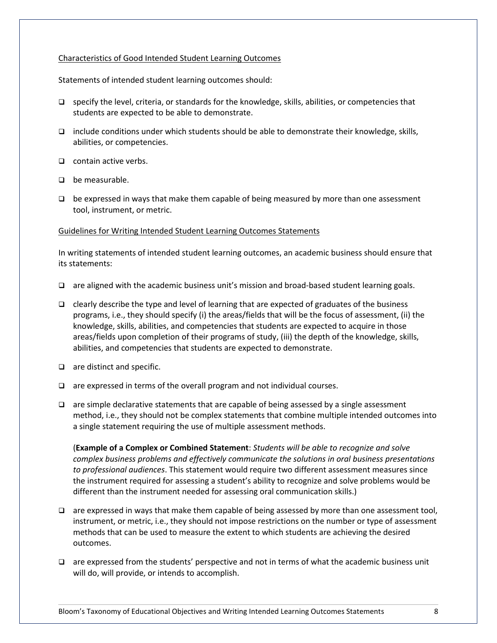### <span id="page-10-0"></span>Characteristics of Good Intended Student Learning Outcomes

Statements of intended student learning outcomes should:

- $\square$  specify the level, criteria, or standards for the knowledge, skills, abilities, or competencies that students are expected to be able to demonstrate.
- $\Box$  include conditions under which students should be able to demonstrate their knowledge, skills, abilities, or competencies.
- $\Box$  contain active verbs.
- $\Box$  be measurable.
- $\Box$  be expressed in ways that make them capable of being measured by more than one assessment tool, instrument, or metric.

#### <span id="page-10-1"></span>Guidelines for Writing Intended Student Learning Outcomes Statements

In writing statements of intended student learning outcomes, an academic business should ensure that its statements:

- $\Box$  are aligned with the academic business unit's mission and broad-based student learning goals.
- $\Box$  clearly describe the type and level of learning that are expected of graduates of the business programs, i.e., they should specify (i) the areas/fields that will be the focus of assessment, (ii) the knowledge, skills, abilities, and competencies that students are expected to acquire in those areas/fields upon completion of their programs of study, (iii) the depth of the knowledge, skills, abilities, and competencies that students are expected to demonstrate.
- $\Box$  are distinct and specific.
- $\Box$  are expressed in terms of the overall program and not individual courses.
- $\Box$  are simple declarative statements that are capable of being assessed by a single assessment method, i.e., they should not be complex statements that combine multiple intended outcomes into a single statement requiring the use of multiple assessment methods.

(**Example of a Complex or Combined Statement**: *Students will be able to recognize and solve complex business problems and effectively communicate the solutions in oral business presentations to professional audiences*. This statement would require two different assessment measures since the instrument required for assessing a student's ability to recognize and solve problems would be different than the instrument needed for assessing oral communication skills.)

- $\Box$  are expressed in ways that make them capable of being assessed by more than one assessment tool, instrument, or metric, i.e., they should not impose restrictions on the number or type of assessment methods that can be used to measure the extent to which students are achieving the desired outcomes.
- $\Box$  are expressed from the students' perspective and not in terms of what the academic business unit will do, will provide, or intends to accomplish.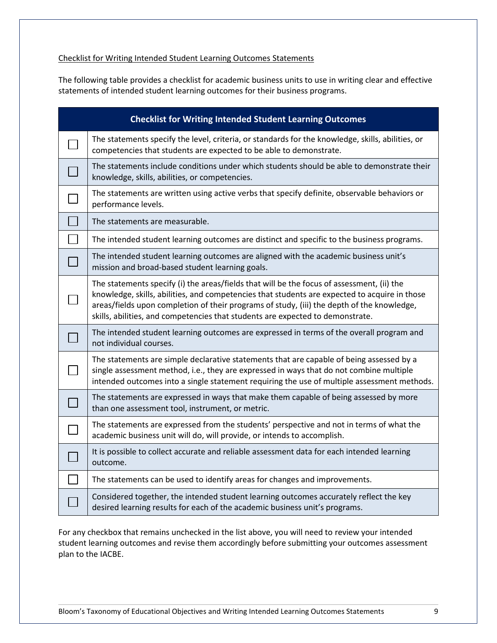# <span id="page-11-0"></span>Checklist for Writing Intended Student Learning Outcomes Statements

The following table provides a checklist for academic business units to use in writing clear and effective statements of intended student learning outcomes for their business programs.

| <b>Checklist for Writing Intended Student Learning Outcomes</b>                                                                                                                                                                                                                                                                                                             |
|-----------------------------------------------------------------------------------------------------------------------------------------------------------------------------------------------------------------------------------------------------------------------------------------------------------------------------------------------------------------------------|
| The statements specify the level, criteria, or standards for the knowledge, skills, abilities, or<br>competencies that students are expected to be able to demonstrate.                                                                                                                                                                                                     |
| The statements include conditions under which students should be able to demonstrate their<br>knowledge, skills, abilities, or competencies.                                                                                                                                                                                                                                |
| The statements are written using active verbs that specify definite, observable behaviors or<br>performance levels.                                                                                                                                                                                                                                                         |
| The statements are measurable.                                                                                                                                                                                                                                                                                                                                              |
| The intended student learning outcomes are distinct and specific to the business programs.                                                                                                                                                                                                                                                                                  |
| The intended student learning outcomes are aligned with the academic business unit's<br>mission and broad-based student learning goals.                                                                                                                                                                                                                                     |
| The statements specify (i) the areas/fields that will be the focus of assessment, (ii) the<br>knowledge, skills, abilities, and competencies that students are expected to acquire in those<br>areas/fields upon completion of their programs of study, (iii) the depth of the knowledge,<br>skills, abilities, and competencies that students are expected to demonstrate. |
| The intended student learning outcomes are expressed in terms of the overall program and<br>not individual courses.                                                                                                                                                                                                                                                         |
| The statements are simple declarative statements that are capable of being assessed by a<br>single assessment method, i.e., they are expressed in ways that do not combine multiple<br>intended outcomes into a single statement requiring the use of multiple assessment methods.                                                                                          |
| The statements are expressed in ways that make them capable of being assessed by more<br>than one assessment tool, instrument, or metric.                                                                                                                                                                                                                                   |
| The statements are expressed from the students' perspective and not in terms of what the<br>academic business unit will do, will provide, or intends to accomplish.                                                                                                                                                                                                         |
| It is possible to collect accurate and reliable assessment data for each intended learning<br>outcome.                                                                                                                                                                                                                                                                      |
| The statements can be used to identify areas for changes and improvements.                                                                                                                                                                                                                                                                                                  |
| Considered together, the intended student learning outcomes accurately reflect the key<br>desired learning results for each of the academic business unit's programs.                                                                                                                                                                                                       |

For any checkbox that remains unchecked in the list above, you will need to review your intended student learning outcomes and revise them accordingly before submitting your outcomes assessment plan to the IACBE.